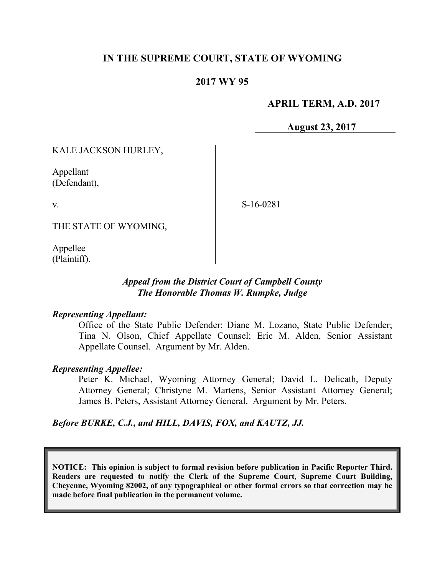# **IN THE SUPREME COURT, STATE OF WYOMING**

# **2017 WY 95**

# **APRIL TERM, A.D. 2017**

**August 23, 2017**

KALE JACKSON HURLEY,

Appellant (Defendant),

v.

S-16-0281

THE STATE OF WYOMING,

Appellee (Plaintiff).

### *Appeal from the District Court of Campbell County The Honorable Thomas W. Rumpke, Judge*

#### *Representing Appellant:*

Office of the State Public Defender: Diane M. Lozano, State Public Defender; Tina N. Olson, Chief Appellate Counsel; Eric M. Alden, Senior Assistant Appellate Counsel. Argument by Mr. Alden.

#### *Representing Appellee:*

Peter K. Michael, Wyoming Attorney General; David L. Delicath, Deputy Attorney General; Christyne M. Martens, Senior Assistant Attorney General; James B. Peters, Assistant Attorney General. Argument by Mr. Peters.

# *Before BURKE, C.J., and HILL, DAVIS, FOX, and KAUTZ, JJ.*

**NOTICE: This opinion is subject to formal revision before publication in Pacific Reporter Third. Readers are requested to notify the Clerk of the Supreme Court, Supreme Court Building, Cheyenne, Wyoming 82002, of any typographical or other formal errors so that correction may be made before final publication in the permanent volume.**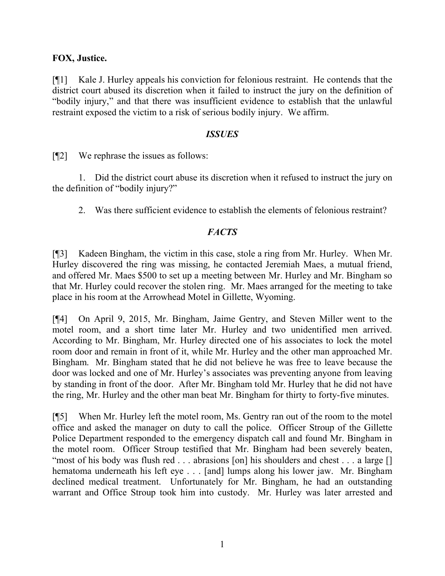# **FOX, Justice.**

[¶1] Kale J. Hurley appeals his conviction for felonious restraint. He contends that the district court abused its discretion when it failed to instruct the jury on the definition of "bodily injury," and that there was insufficient evidence to establish that the unlawful restraint exposed the victim to a risk of serious bodily injury. We affirm.

#### *ISSUES*

[¶2] We rephrase the issues as follows:

1. Did the district court abuse its discretion when it refused to instruct the jury on the definition of "bodily injury?"

2. Was there sufficient evidence to establish the elements of felonious restraint?

# *FACTS*

[¶3] Kadeen Bingham, the victim in this case, stole a ring from Mr. Hurley. When Mr. Hurley discovered the ring was missing, he contacted Jeremiah Maes, a mutual friend, and offered Mr. Maes \$500 to set up a meeting between Mr. Hurley and Mr. Bingham so that Mr. Hurley could recover the stolen ring. Mr. Maes arranged for the meeting to take place in his room at the Arrowhead Motel in Gillette, Wyoming.

[¶4] On April 9, 2015, Mr. Bingham, Jaime Gentry, and Steven Miller went to the motel room, and a short time later Mr. Hurley and two unidentified men arrived. According to Mr. Bingham, Mr. Hurley directed one of his associates to lock the motel room door and remain in front of it, while Mr. Hurley and the other man approached Mr. Bingham. Mr. Bingham stated that he did not believe he was free to leave because the door was locked and one of Mr. Hurley's associates was preventing anyone from leaving by standing in front of the door. After Mr. Bingham told Mr. Hurley that he did not have the ring, Mr. Hurley and the other man beat Mr. Bingham for thirty to forty-five minutes.

[¶5] When Mr. Hurley left the motel room, Ms. Gentry ran out of the room to the motel office and asked the manager on duty to call the police. Officer Stroup of the Gillette Police Department responded to the emergency dispatch call and found Mr. Bingham in the motel room. Officer Stroup testified that Mr. Bingham had been severely beaten, "most of his body was flush red . . . abrasions [on] his shoulders and chest . . . a large [] hematoma underneath his left eye . . . [and] lumps along his lower jaw. Mr. Bingham declined medical treatment. Unfortunately for Mr. Bingham, he had an outstanding warrant and Office Stroup took him into custody. Mr. Hurley was later arrested and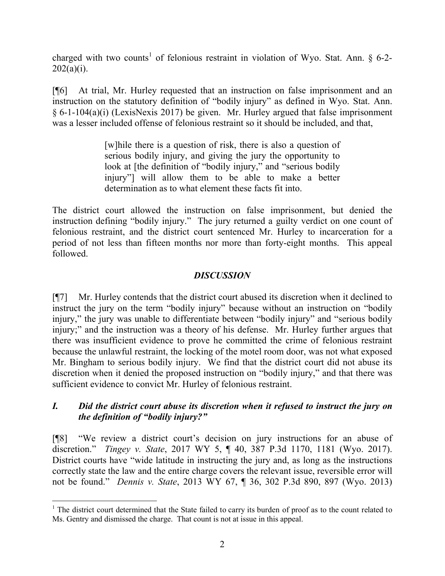charged with two counts<sup>1</sup> of felonious restraint in violation of Wyo. Stat. Ann. § 6-2- $202(a)(i)$ .

[¶6] At trial, Mr. Hurley requested that an instruction on false imprisonment and an instruction on the statutory definition of "bodily injury" as defined in Wyo. Stat. Ann. § 6-1-104(a)(i) (LexisNexis 2017) be given. Mr. Hurley argued that false imprisonment was a lesser included offense of felonious restraint so it should be included, and that,

> [w]hile there is a question of risk, there is also a question of serious bodily injury, and giving the jury the opportunity to look at [the definition of "bodily injury," and "serious bodily injury"] will allow them to be able to make a better determination as to what element these facts fit into.

The district court allowed the instruction on false imprisonment, but denied the instruction defining "bodily injury." The jury returned a guilty verdict on one count of felonious restraint, and the district court sentenced Mr. Hurley to incarceration for a period of not less than fifteen months nor more than forty-eight months. This appeal followed.

# *DISCUSSION*

[¶7] Mr. Hurley contends that the district court abused its discretion when it declined to instruct the jury on the term "bodily injury" because without an instruction on "bodily injury," the jury was unable to differentiate between "bodily injury" and "serious bodily injury;" and the instruction was a theory of his defense. Mr. Hurley further argues that there was insufficient evidence to prove he committed the crime of felonious restraint because the unlawful restraint, the locking of the motel room door, was not what exposed Mr. Bingham to serious bodily injury. We find that the district court did not abuse its discretion when it denied the proposed instruction on "bodily injury," and that there was sufficient evidence to convict Mr. Hurley of felonious restraint.

# *I. Did the district court abuse its discretion when it refused to instruct the jury on the definition of "bodily injury?"*

[¶8] "We review a district court's decision on jury instructions for an abuse of discretion." *Tingey v. State*, 2017 WY 5, ¶ 40, 387 P.3d 1170, 1181 (Wyo. 2017). District courts have "wide latitude in instructing the jury and, as long as the instructions correctly state the law and the entire charge covers the relevant issue, reversible error will not be found." *Dennis v. State*, 2013 WY 67, ¶ 36, 302 P.3d 890, 897 (Wyo. 2013)

<sup>&</sup>lt;sup>1</sup> The district court determined that the State failed to carry its burden of proof as to the count related to Ms. Gentry and dismissed the charge. That count is not at issue in this appeal.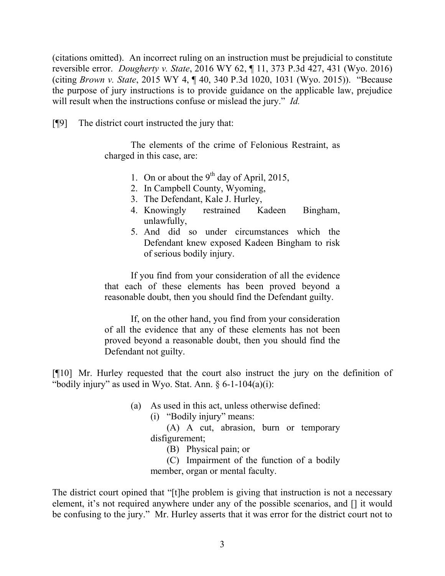(citations omitted). An incorrect ruling on an instruction must be prejudicial to constitute reversible error. *Dougherty v. State*, 2016 WY 62, ¶ 11, 373 P.3d 427, 431 (Wyo. 2016) (citing *Brown v. State*, 2015 WY 4, ¶ 40, 340 P.3d 1020, 1031 (Wyo. 2015)). "Because the purpose of jury instructions is to provide guidance on the applicable law, prejudice will result when the instructions confuse or mislead the jury." *Id.*

[¶9] The district court instructed the jury that:

The elements of the crime of Felonious Restraint, as charged in this case, are:

- 1. On or about the 9<sup>th</sup> day of April, 2015,
- 2. In Campbell County, Wyoming,
- 3. The Defendant, Kale J. Hurley,
- 4. Knowingly restrained Kadeen Bingham, unlawfully,
- 5. And did so under circumstances which the Defendant knew exposed Kadeen Bingham to risk of serious bodily injury.

If you find from your consideration of all the evidence that each of these elements has been proved beyond a reasonable doubt, then you should find the Defendant guilty.

If, on the other hand, you find from your consideration of all the evidence that any of these elements has not been proved beyond a reasonable doubt, then you should find the Defendant not guilty.

[¶10] Mr. Hurley requested that the court also instruct the jury on the definition of "bodily injury" as used in Wyo. Stat. Ann.  $\S 6$ -1-104(a)(i):

- (a) As used in this act, unless otherwise defined:
	- (i) "Bodily injury" means:

(A) A cut, abrasion, burn or temporary disfigurement;

(B) Physical pain; or

(C) Impairment of the function of a bodily member, organ or mental faculty.

The district court opined that "[t]he problem is giving that instruction is not a necessary element, it's not required anywhere under any of the possible scenarios, and [] it would be confusing to the jury." Mr. Hurley asserts that it was error for the district court not to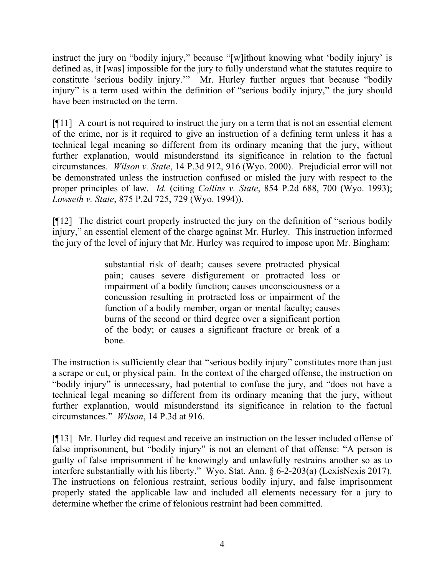instruct the jury on "bodily injury," because "[w]ithout knowing what 'bodily injury' is defined as, it [was] impossible for the jury to fully understand what the statutes require to constitute 'serious bodily injury.'" Mr. Hurley further argues that because "bodily injury" is a term used within the definition of "serious bodily injury," the jury should have been instructed on the term.

[¶11] A court is not required to instruct the jury on a term that is not an essential element of the crime, nor is it required to give an instruction of a defining term unless it has a technical legal meaning so different from its ordinary meaning that the jury, without further explanation, would misunderstand its significance in relation to the factual circumstances. *Wilson v. State*, 14 P.3d 912, 916 (Wyo. 2000). Prejudicial error will not be demonstrated unless the instruction confused or misled the jury with respect to the proper principles of law. *Id.* (citing *Collins v. State*, 854 P.2d 688, 700 (Wyo. 1993); *Lowseth v. State*, 875 P.2d 725, 729 (Wyo. 1994)).

[¶12] The district court properly instructed the jury on the definition of "serious bodily injury," an essential element of the charge against Mr. Hurley. This instruction informed the jury of the level of injury that Mr. Hurley was required to impose upon Mr. Bingham:

> substantial risk of death; causes severe protracted physical pain; causes severe disfigurement or protracted loss or impairment of a bodily function; causes unconsciousness or a concussion resulting in protracted loss or impairment of the function of a bodily member, organ or mental faculty; causes burns of the second or third degree over a significant portion of the body; or causes a significant fracture or break of a bone.

The instruction is sufficiently clear that "serious bodily injury" constitutes more than just a scrape or cut, or physical pain. In the context of the charged offense, the instruction on "bodily injury" is unnecessary, had potential to confuse the jury, and "does not have a technical legal meaning so different from its ordinary meaning that the jury, without further explanation, would misunderstand its significance in relation to the factual circumstances." *Wilson*, 14 P.3d at 916.

[¶13] Mr. Hurley did request and receive an instruction on the lesser included offense of false imprisonment, but "bodily injury" is not an element of that offense: "A person is guilty of false imprisonment if he knowingly and unlawfully restrains another so as to interfere substantially with his liberty." Wyo. Stat. Ann. § 6-2-203(a) (LexisNexis 2017). The instructions on felonious restraint, serious bodily injury, and false imprisonment properly stated the applicable law and included all elements necessary for a jury to determine whether the crime of felonious restraint had been committed.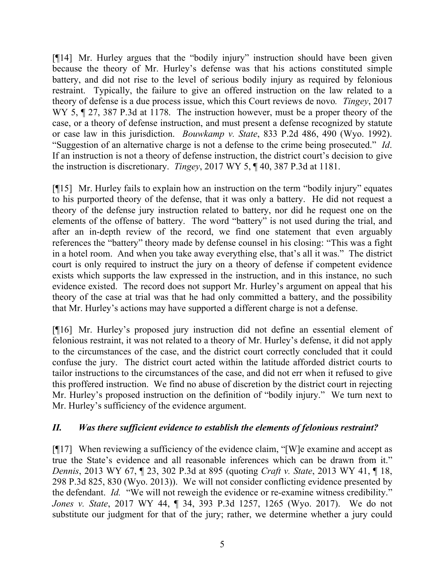[¶14] Mr. Hurley argues that the "bodily injury" instruction should have been given because the theory of Mr. Hurley's defense was that his actions constituted simple battery, and did not rise to the level of serious bodily injury as required by felonious restraint. Typically, the failure to give an offered instruction on the law related to a theory of defense is a due process issue, which this Court reviews de novo*. Tingey*, 2017 WY 5,  $\sqrt{27}$ , 387 P.3d at 1178. The instruction however, must be a proper theory of the case, or a theory of defense instruction, and must present a defense recognized by statute or case law in this jurisdiction. *Bouwkamp v. State*, 833 P.2d 486, 490 (Wyo. 1992). "Suggestion of an alternative charge is not a defense to the crime being prosecuted." *Id*. If an instruction is not a theory of defense instruction, the district court's decision to give the instruction is discretionary. *Tingey*, 2017 WY 5, ¶ 40, 387 P.3d at 1181.

[¶15] Mr. Hurley fails to explain how an instruction on the term "bodily injury" equates to his purported theory of the defense, that it was only a battery. He did not request a theory of the defense jury instruction related to battery, nor did he request one on the elements of the offense of battery. The word "battery" is not used during the trial, and after an in-depth review of the record, we find one statement that even arguably references the "battery" theory made by defense counsel in his closing: "This was a fight in a hotel room. And when you take away everything else, that's all it was." The district court is only required to instruct the jury on a theory of defense if competent evidence exists which supports the law expressed in the instruction, and in this instance, no such evidence existed. The record does not support Mr. Hurley's argument on appeal that his theory of the case at trial was that he had only committed a battery, and the possibility that Mr. Hurley's actions may have supported a different charge is not a defense.

[¶16] Mr. Hurley's proposed jury instruction did not define an essential element of felonious restraint, it was not related to a theory of Mr. Hurley's defense, it did not apply to the circumstances of the case, and the district court correctly concluded that it could confuse the jury. The district court acted within the latitude afforded district courts to tailor instructions to the circumstances of the case, and did not err when it refused to give this proffered instruction. We find no abuse of discretion by the district court in rejecting Mr. Hurley's proposed instruction on the definition of "bodily injury." We turn next to Mr. Hurley's sufficiency of the evidence argument.

# *II. Was there sufficient evidence to establish the elements of felonious restraint?*

[¶17] When reviewing a sufficiency of the evidence claim, "[W]e examine and accept as true the State's evidence and all reasonable inferences which can be drawn from it." *Dennis*, 2013 WY 67, ¶ 23, 302 P.3d at 895 (quoting *Craft v. State*, 2013 WY 41, ¶ 18, 298 P.3d 825, 830 (Wyo. 2013)). We will not consider conflicting evidence presented by the defendant. *Id.* "We will not reweigh the evidence or re-examine witness credibility." *Jones v. State*, 2017 WY 44, ¶ 34, 393 P.3d 1257, 1265 (Wyo. 2017). We do not substitute our judgment for that of the jury; rather, we determine whether a jury could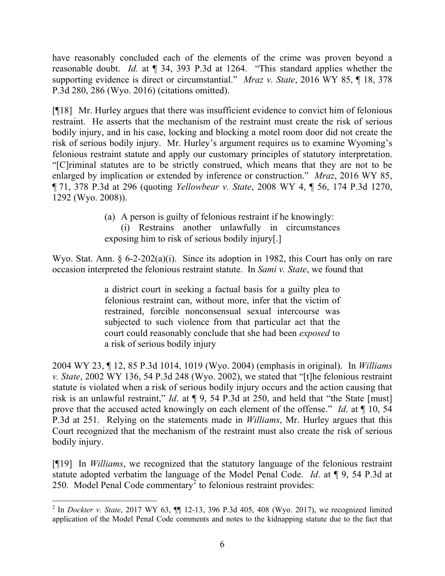have reasonably concluded each of the elements of the crime was proven beyond a reasonable doubt. *Id.* at ¶ 34, 393 P.3d at 1264. "This standard applies whether the supporting evidence is direct or circumstantial." *Mraz v. State*, 2016 WY 85, ¶ 18, 378 P.3d 280, 286 (Wyo. 2016) (citations omitted).

[¶18] Mr. Hurley argues that there was insufficient evidence to convict him of felonious restraint. He asserts that the mechanism of the restraint must create the risk of serious bodily injury, and in his case, locking and blocking a motel room door did not create the risk of serious bodily injury. Mr. Hurley's argument requires us to examine Wyoming's felonious restraint statute and apply our customary principles of statutory interpretation. "[C]riminal statutes are to be strictly construed, which means that they are not to be enlarged by implication or extended by inference or construction." *Mraz*, 2016 WY 85, ¶ 71, 378 P.3d at 296 (quoting *Yellowbear v. State*, 2008 WY 4, ¶ 56, 174 P.3d 1270, 1292 (Wyo. 2008)).

> (a) A person is guilty of felonious restraint if he knowingly: (i) Restrains another unlawfully in circumstances exposing him to risk of serious bodily injury[.]

Wyo. Stat. Ann. § 6-2-202(a)(i). Since its adoption in 1982, this Court has only on rare occasion interpreted the felonious restraint statute. In *Sami v. State*, we found that

> a district court in seeking a factual basis for a guilty plea to felonious restraint can, without more, infer that the victim of restrained, forcible nonconsensual sexual intercourse was subjected to such violence from that particular act that the court could reasonably conclude that she had been *exposed* to a risk of serious bodily injury

2004 WY 23, ¶ 12, 85 P.3d 1014, 1019 (Wyo. 2004) (emphasis in original). In *Williams v. State*, 2002 WY 136, 54 P.3d 248 (Wyo. 2002), we stated that "[t]he felonious restraint statute is violated when a risk of serious bodily injury occurs and the action causing that risk is an unlawful restraint," *Id*. at ¶ 9, 54 P.3d at 250, and held that "the State [must] prove that the accused acted knowingly on each element of the offense." *Id*. at ¶ 10, 54 P.3d at 251. Relying on the statements made in *Williams*, Mr. Hurley argues that this Court recognized that the mechanism of the restraint must also create the risk of serious bodily injury.

[¶19] In *Williams*, we recognized that the statutory language of the felonious restraint statute adopted verbatim the language of the Model Penal Code. *Id*. at ¶ 9, 54 P.3d at 250. Model Penal Code commentary<sup>2</sup> to felonious restraint provides:

<sup>&</sup>lt;sup>2</sup> In *Dockter v. State*, 2017 WY 63, **[1]** 12-13, 396 P.3d 405, 408 (Wyo. 2017), we recognized limited application of the Model Penal Code comments and notes to the kidnapping statute due to the fact that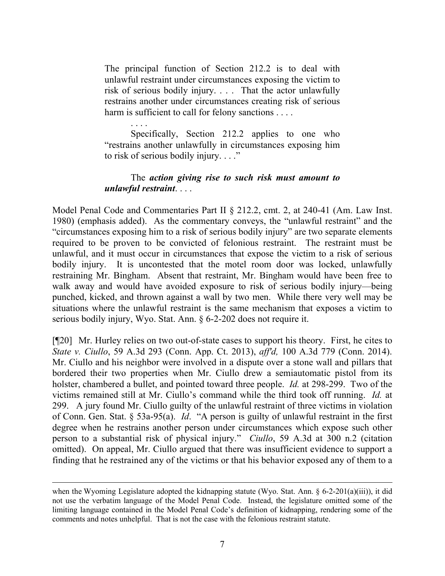The principal function of Section 212.2 is to deal with unlawful restraint under circumstances exposing the victim to risk of serious bodily injury. . . . That the actor unlawfully restrains another under circumstances creating risk of serious harm is sufficient to call for felony sanctions . . . .

. . . . Specifically, Section 212.2 applies to one who "restrains another unlawfully in circumstances exposing him to risk of serious bodily injury. . . ."

### The *action giving rise to such risk must amount to unlawful restraint*. . . .

Model Penal Code and Commentaries Part II § 212.2, cmt. 2, at 240-41 (Am. Law Inst. 1980) (emphasis added). As the commentary conveys, the "unlawful restraint" and the "circumstances exposing him to a risk of serious bodily injury" are two separate elements required to be proven to be convicted of felonious restraint. The restraint must be unlawful, and it must occur in circumstances that expose the victim to a risk of serious bodily injury. It is uncontested that the motel room door was locked, unlawfully restraining Mr. Bingham. Absent that restraint, Mr. Bingham would have been free to walk away and would have avoided exposure to risk of serious bodily injury—being punched, kicked, and thrown against a wall by two men. While there very well may be situations where the unlawful restraint is the same mechanism that exposes a victim to serious bodily injury, Wyo. Stat. Ann. § 6-2-202 does not require it.

[¶20] Mr. Hurley relies on two out-of-state cases to support his theory. First, he cites to *State v. Ciullo*, 59 A.3d 293 (Conn. App. Ct. 2013), *aff'd,* 100 A.3d 779 (Conn. 2014). Mr. Ciullo and his neighbor were involved in a dispute over a stone wall and pillars that bordered their two properties when Mr. Ciullo drew a semiautomatic pistol from its holster, chambered a bullet, and pointed toward three people. *Id.* at 298-299. Two of the victims remained still at Mr. Ciullo's command while the third took off running. *Id.* at 299. A jury found Mr. Ciullo guilty of the unlawful restraint of three victims in violation of Conn. Gen. Stat. § 53a-95(a). *Id*. "A person is guilty of unlawful restraint in the first degree when he restrains another person under circumstances which expose such other person to a substantial risk of physical injury." *Ciullo*, 59 A.3d at 300 n.2 (citation omitted). On appeal, Mr. Ciullo argued that there was insufficient evidence to support a finding that he restrained any of the victims or that his behavior exposed any of them to a

when the Wyoming Legislature adopted the kidnapping statute (Wyo. Stat. Ann. § 6-2-201(a)(iii)), it did not use the verbatim language of the Model Penal Code. Instead, the legislature omitted some of the limiting language contained in the Model Penal Code's definition of kidnapping, rendering some of the comments and notes unhelpful. That is not the case with the felonious restraint statute.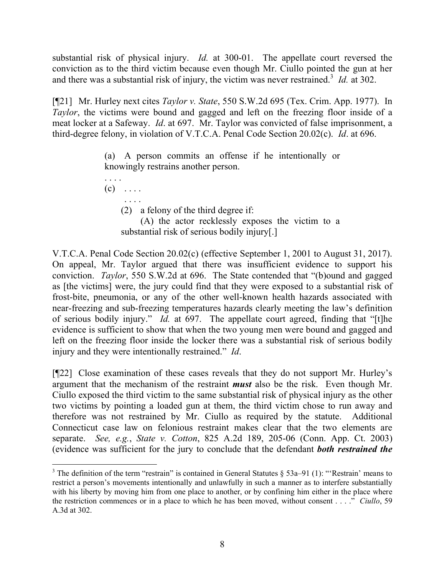substantial risk of physical injury. *Id.* at 300-01. The appellate court reversed the conviction as to the third victim because even though Mr. Ciullo pointed the gun at her and there was a substantial risk of injury, the victim was never restrained. 3 *Id.* at 302.

[¶21] Mr. Hurley next cites *Taylor v. State*, 550 S.W.2d 695 (Tex. Crim. App. 1977). In *Taylor*, the victims were bound and gagged and left on the freezing floor inside of a meat locker at a Safeway. *Id*. at 697. Mr. Taylor was convicted of false imprisonment, a third-degree felony, in violation of V.T.C.A. Penal Code Section 20.02(c). *Id*. at 696.

> (a) A person commits an offense if he intentionally or knowingly restrains another person.

. . . .  $(c)$  ....

(2) a felony of the third degree if:

(A) the actor recklessly exposes the victim to a substantial risk of serious bodily injury[.]

V.T.C.A. Penal Code Section 20.02(c) (effective September 1, 2001 to August 31, 2017). On appeal, Mr. Taylor argued that there was insufficient evidence to support his conviction. *Taylor*, 550 S.W.2d at 696. The State contended that "(b)ound and gagged as [the victims] were, the jury could find that they were exposed to a substantial risk of frost-bite, pneumonia, or any of the other well-known health hazards associated with near-freezing and sub-freezing temperatures hazards clearly meeting the law's definition of serious bodily injury." *Id.* at 697. The appellate court agreed, finding that "[t]he evidence is sufficient to show that when the two young men were bound and gagged and left on the freezing floor inside the locker there was a substantial risk of serious bodily injury and they were intentionally restrained." *Id*.

[¶22] Close examination of these cases reveals that they do not support Mr. Hurley's argument that the mechanism of the restraint *must* also be the risk. Even though Mr. Ciullo exposed the third victim to the same substantial risk of physical injury as the other two victims by pointing a loaded gun at them, the third victim chose to run away and therefore was not restrained by Mr. Ciullo as required by the statute. Additional Connecticut case law on felonious restraint makes clear that the two elements are separate. *See, e.g.*, *State v. Cotton*, 825 A.2d 189, 205-06 (Conn. App. Ct. 2003) (evidence was sufficient for the jury to conclude that the defendant *both restrained the* 

 <sup>3</sup> The definition of the term "restrain" is contained in General Statutes  $\S$  53a–91 (1): "'Restrain' means to restrict a person's movements intentionally and unlawfully in such a manner as to interfere substantially with his liberty by moving him from one place to another, or by confining him either in the place where the restriction commences or in a place to which he has been moved, without consent . . . ." *Ciullo*, 59 A.3d at 302.